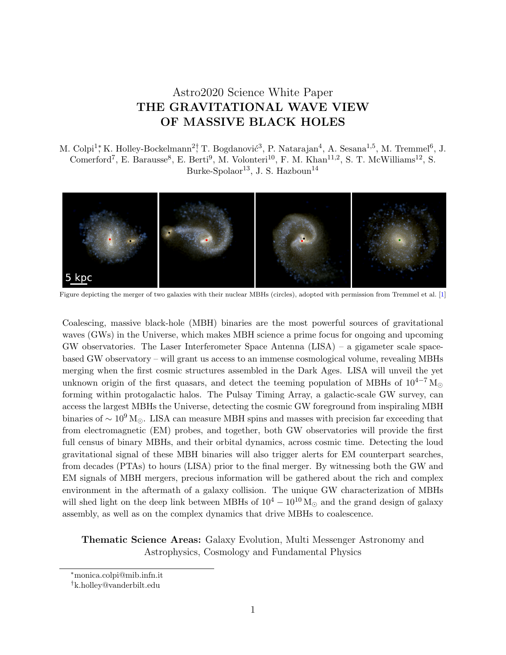## Astro2020 Science White Paper THE GRAVITATIONAL WAVE VIEW OF MASSIVE BLACK HOLES

M. Colpi<sup>1</sup>,\* K. Holley-Bockelmann<sup>2</sup>;<sup>†</sup> T. Bogdanović<sup>3</sup>, P. Natarajan<sup>4</sup>, A. Sesana<sup>1,5</sup>, M. Tremmel<sup>6</sup>, J. Comerford<sup>7</sup>, E. Barausse<sup>8</sup>, E. Berti<sup>9</sup>, M. Volonteri<sup>10</sup>, F. M. Khan<sup>11,2</sup>, S. T. McWilliams<sup>12</sup>, S. Burke-Spolaor<sup>13</sup>, J. S. Hazboun<sup>14</sup>



Figure depicting the merger of two galaxies with their nuclear MBHs (circles), adopted with permission from Tremmel et al. [1]

Coalescing, massive black-hole (MBH) binaries are the most powerful sources of gravitational waves (GWs) in the Universe, which makes MBH science a prime focus for ongoing and upcoming GW observatories. The Laser Interferometer Space Antenna (LISA) – a gigameter scale spacebased GW observatory – will grant us access to an immense cosmological volume, revealing MBHs merging when the first cosmic structures assembled in the Dark Ages. LISA will unveil the yet unknown origin of the first quasars, and detect the teeming population of MBHs of  $10^{4-7}$  M<sub>o</sub> forming within protogalactic halos. The Pulsay Timing Array, a galactic-scale GW survey, can access the largest MBHs the Universe, detecting the cosmic GW foreground from inspiraling MBH binaries of  $\sim 10^9$  M<sub>☉</sub>. LISA can measure MBH spins and masses with precision far exceeding that from electromagnetic (EM) probes, and together, both GW observatories will provide the first full census of binary MBHs, and their orbital dynamics, across cosmic time. Detecting the loud gravitational signal of these MBH binaries will also trigger alerts for EM counterpart searches, from decades (PTAs) to hours (LISA) prior to the final merger. By witnessing both the GW and EM signals of MBH mergers, precious information will be gathered about the rich and complex environment in the aftermath of a galaxy collision. The unique GW characterization of MBHs will shed light on the deep link between MBHs of  $10^4 - 10^{10}$  M<sub> $\odot$ </sub> and the grand design of galaxy assembly, as well as on the complex dynamics that drive MBHs to coalescence.

Thematic Science Areas: Galaxy Evolution, Multi Messenger Astronomy and Astrophysics, Cosmology and Fundamental Physics

<sup>∗</sup>monica.colpi@mib.infn.it

<sup>†</sup>k.holley@vanderbilt.edu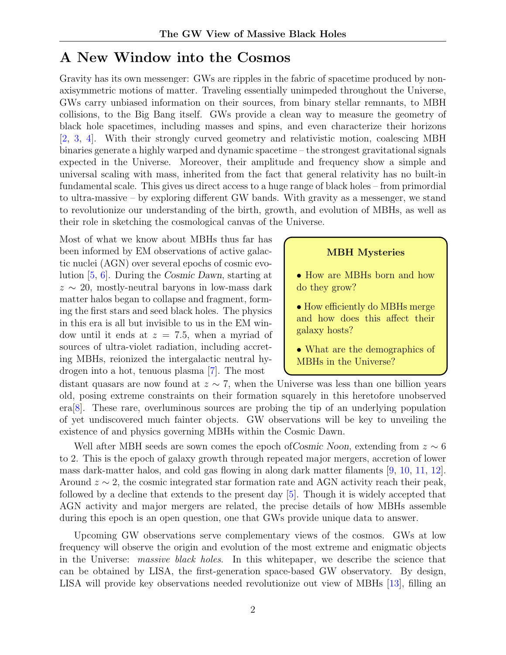### A New Window into the Cosmos

Gravity has its own messenger: GWs are ripples in the fabric of spacetime produced by nonaxisymmetric motions of matter. Traveling essentially unimpeded throughout the Universe, GWs carry unbiased information on their sources, from binary stellar remnants, to MBH collisions, to the Big Bang itself. GWs provide a clean way to measure the geometry of black hole spacetimes, including masses and spins, and even characterize their horizons [2, 3, 4]. With their strongly curved geometry and relativistic motion, coalescing MBH binaries generate a highly warped and dynamic spacetime – the strongest gravitational signals expected in the Universe. Moreover, their amplitude and frequency show a simple and universal scaling with mass, inherited from the fact that general relativity has no built-in fundamental scale. This gives us direct access to a huge range of black holes – from primordial to ultra-massive – by exploring different GW bands. With gravity as a messenger, we stand to revolutionize our understanding of the birth, growth, and evolution of MBHs, as well as their role in sketching the cosmological canvas of the Universe.

Most of what we know about MBHs thus far has been informed by EM observations of active galactic nuclei (AGN) over several epochs of cosmic evolution [5, 6]. During the Cosmic Dawn, starting at  $z \sim 20$ , mostly-neutral baryons in low-mass dark matter halos began to collapse and fragment, forming the first stars and seed black holes. The physics in this era is all but invisible to us in the EM window until it ends at  $z = 7.5$ , when a myriad of sources of ultra-violet radiation, including accreting MBHs, reionized the intergalactic neutral hydrogen into a hot, tenuous plasma [7]. The most

#### MBH Mysteries

- How are MBHs born and how do they grow?
- How efficiently do MBHs merge and how does this affect their galaxy hosts?
- What are the demographics of MBHs in the Universe?

distant quasars are now found at  $z \sim 7$ , when the Universe was less than one billion years old, posing extreme constraints on their formation squarely in this heretofore unobserved era[8]. These rare, overluminous sources are probing the tip of an underlying population of yet undiscovered much fainter objects. GW observations will be key to unveiling the existence of and physics governing MBHs within the Cosmic Dawn.

Well after MBH seeds are sown comes the epoch of Cosmic Noon, extending from  $z \sim 6$ to 2. This is the epoch of galaxy growth through repeated major mergers, accretion of lower mass dark-matter halos, and cold gas flowing in along dark matter filaments [9, 10, 11, 12]. Around  $z \sim 2$ , the cosmic integrated star formation rate and AGN activity reach their peak, followed by a decline that extends to the present day [5]. Though it is widely accepted that AGN activity and major mergers are related, the precise details of how MBHs assemble during this epoch is an open question, one that GWs provide unique data to answer.

Upcoming GW observations serve complementary views of the cosmos. GWs at low frequency will observe the origin and evolution of the most extreme and enigmatic objects in the Universe: massive black holes. In this whitepaper, we describe the science that can be obtained by LISA, the first-generation space-based GW observatory. By design, LISA will provide key observations needed revolutionize out view of MBHs [13], filling an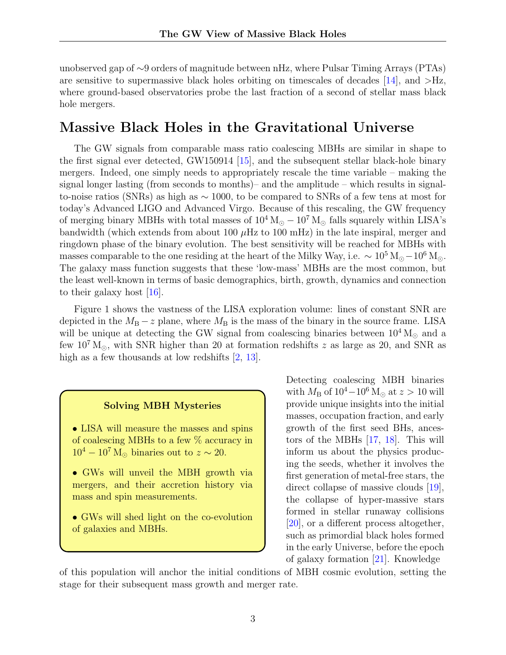unobserved gap of ∼9 orders of magnitude between nHz, where Pulsar Timing Arrays (PTAs) are sensitive to supermassive black holes orbiting on timescales of decades  $[14]$ , and  $\geq$ Hz, where ground-based observatories probe the last fraction of a second of stellar mass black hole mergers.

### Massive Black Holes in the Gravitational Universe

The GW signals from comparable mass ratio coalescing MBHs are similar in shape to the first signal ever detected, GW150914 [15], and the subsequent stellar black-hole binary mergers. Indeed, one simply needs to appropriately rescale the time variable – making the signal longer lasting (from seconds to months)– and the amplitude – which results in signalto-noise ratios (SNRs) as high as ∼ 1000, to be compared to SNRs of a few tens at most for today's Advanced LIGO and Advanced Virgo. Because of this rescaling, the GW frequency of merging binary MBHs with total masses of  $10^4 \text{ M}_{\odot} - 10^7 \text{ M}_{\odot}$  falls squarely within LISA's bandwidth (which extends from about 100  $\mu$ Hz to 100 mHz) in the late inspiral, merger and ringdown phase of the binary evolution. The best sensitivity will be reached for MBHs with masses comparable to the one residing at the heart of the Milky Way, i.e.  $\sim 10^5 \,\mathrm{M}_{\odot} - 10^6 \,\mathrm{M}_{\odot}$ . The galaxy mass function suggests that these 'low-mass' MBHs are the most common, but the least well-known in terms of basic demographics, birth, growth, dynamics and connection to their galaxy host [16].

Figure 1 shows the vastness of the LISA exploration volume: lines of constant SNR are depicted in the  $M_B - z$  plane, where  $M_B$  is the mass of the binary in the source frame. LISA will be unique at detecting the GW signal from coalescing binaries between  $10^4 M_{\odot}$  and a few  $10^7 \text{ M}_{\odot}$ , with SNR higher than 20 at formation redshifts z as large as 20, and SNR as high as a few thousands at low redshifts [2, 13].

#### Solving MBH Mysteries

- LISA will measure the masses and spins of coalescing MBHs to a few % accuracy in  $10^4 - 10^7$  M<sub>o</sub> binaries out to  $z \sim 20$ .
- GWs will unveil the MBH growth via mergers, and their accretion history via mass and spin measurements.
- GWs will shed light on the co-evolution of galaxies and MBHs.

Detecting coalescing MBH binaries with  $M_{\rm B}$  of  $10^4 - 10^6$  M<sub>o</sub> at  $z > 10$  will provide unique insights into the initial masses, occupation fraction, and early growth of the first seed BHs, ancestors of the MBHs [17, 18]. This will inform us about the physics producing the seeds, whether it involves the first generation of metal-free stars, the direct collapse of massive clouds [19], the collapse of hyper-massive stars formed in stellar runaway collisions [20], or a different process altogether, such as primordial black holes formed in the early Universe, before the epoch of galaxy formation [21]. Knowledge

of this population will anchor the initial conditions of MBH cosmic evolution, setting the stage for their subsequent mass growth and merger rate.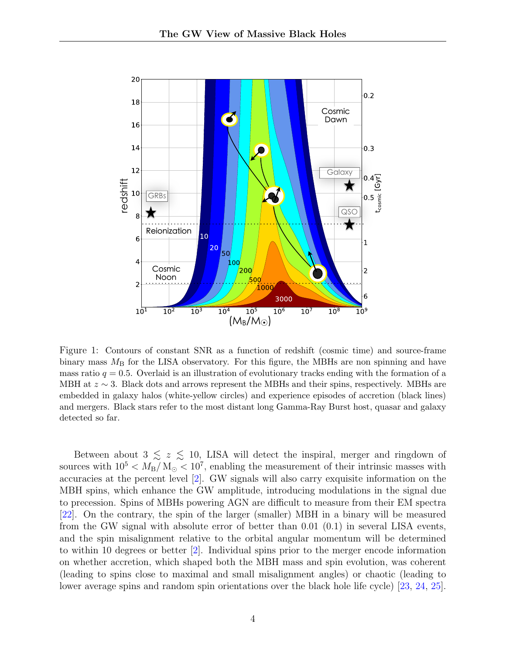

Figure 1: Contours of constant SNR as a function of redshift (cosmic time) and source-frame binary mass  $M<sub>B</sub>$  for the LISA observatory. For this figure, the MBHs are non spinning and have mass ratio  $q = 0.5$ . Overlaid is an illustration of evolutionary tracks ending with the formation of a MBH at  $z \sim 3$ . Black dots and arrows represent the MBHs and their spins, respectively. MBHs are embedded in galaxy halos (white-yellow circles) and experience episodes of accretion (black lines) and mergers. Black stars refer to the most distant long Gamma-Ray Burst host, quasar and galaxy detected so far.

Between about  $3 \leq z \leq 10$ , LISA will detect the inspiral, merger and ringdown of sources with  $10^5 < M_{\rm B} / M_{\odot} < 10^7$ , enabling the measurement of their intrinsic masses with accuracies at the percent level [2]. GW signals will also carry exquisite information on the MBH spins, which enhance the GW amplitude, introducing modulations in the signal due to precession. Spins of MBHs powering AGN are difficult to measure from their EM spectra [22]. On the contrary, the spin of the larger (smaller) MBH in a binary will be measured from the GW signal with absolute error of better than 0.01 (0.1) in several LISA events, and the spin misalignment relative to the orbital angular momentum will be determined to within 10 degrees or better [2]. Individual spins prior to the merger encode information on whether accretion, which shaped both the MBH mass and spin evolution, was coherent (leading to spins close to maximal and small misalignment angles) or chaotic (leading to lower average spins and random spin orientations over the black hole life cycle) [23, 24, 25].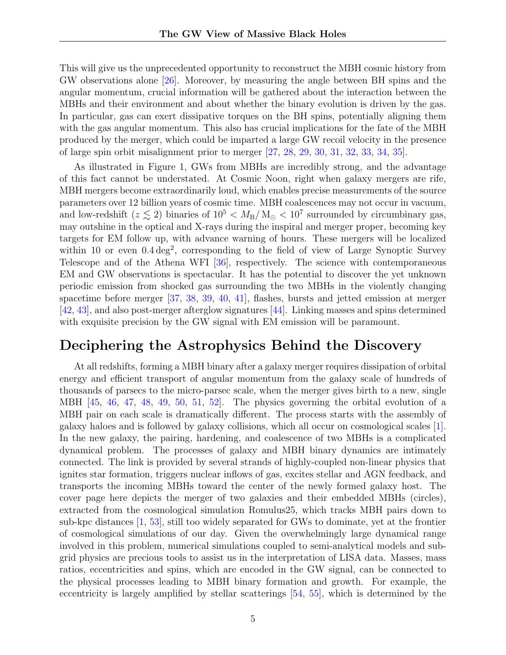This will give us the unprecedented opportunity to reconstruct the MBH cosmic history from GW observations alone [26]. Moreover, by measuring the angle between BH spins and the angular momentum, crucial information will be gathered about the interaction between the MBHs and their environment and about whether the binary evolution is driven by the gas. In particular, gas can exert dissipative torques on the BH spins, potentially aligning them with the gas angular momentum. This also has crucial implications for the fate of the MBH produced by the merger, which could be imparted a large GW recoil velocity in the presence of large spin orbit misalignment prior to merger [27, 28, 29, 30, 31, 32, 33, 34, 35].

As illustrated in Figure 1, GWs from MBHs are incredibly strong, and the advantage of this fact cannot be understated. At Cosmic Noon, right when galaxy mergers are rife, MBH mergers become extraordinarily loud, which enables precise measurements of the source parameters over 12 billion years of cosmic time. MBH coalescences may not occur in vacuum, and low-redshift ( $z \lesssim 2$ ) binaries of  $10^5 < M_{\rm B}/M_{\odot} < 10^7$  surrounded by circumbinary gas, may outshine in the optical and X-rays during the inspiral and merger proper, becoming key targets for EM follow up, with advance warning of hours. These mergers will be localized within 10 or even  $0.4 \text{ deg}^2$ , corresponding to the field of view of Large Synoptic Survey Telescope and of the Athena WFI [36], respectively. The science with contemporaneous EM and GW observations is spectacular. It has the potential to discover the yet unknown periodic emission from shocked gas surrounding the two MBHs in the violently changing spacetime before merger [37, 38, 39, 40, 41], flashes, bursts and jetted emission at merger [42, 43], and also post-merger afterglow signatures [44]. Linking masses and spins determined with exquisite precision by the GW signal with EM emission will be paramount.

#### Deciphering the Astrophysics Behind the Discovery

At all redshifts, forming a MBH binary after a galaxy merger requires dissipation of orbital energy and efficient transport of angular momentum from the galaxy scale of hundreds of thousands of parsecs to the micro-parsec scale, when the merger gives birth to a new, single MBH [45, 46, 47, 48, 49, 50, 51, 52]. The physics governing the orbital evolution of a MBH pair on each scale is dramatically different. The process starts with the assembly of galaxy haloes and is followed by galaxy collisions, which all occur on cosmological scales [1]. In the new galaxy, the pairing, hardening, and coalescence of two MBHs is a complicated dynamical problem. The processes of galaxy and MBH binary dynamics are intimately connected. The link is provided by several strands of highly-coupled non-linear physics that ignites star formation, triggers nuclear inflows of gas, excites stellar and AGN feedback, and transports the incoming MBHs toward the center of the newly formed galaxy host. The cover page here depicts the merger of two galaxies and their embedded MBHs (circles), extracted from the cosmological simulation Romulus25, which tracks MBH pairs down to sub-kpc distances [1, 53], still too widely separated for GWs to dominate, yet at the frontier of cosmological simulations of our day. Given the overwhelmingly large dynamical range involved in this problem, numerical simulations coupled to semi-analytical models and subgrid physics are precious tools to assist us in the interpretation of LISA data. Masses, mass ratios, eccentricities and spins, which are encoded in the GW signal, can be connected to the physical processes leading to MBH binary formation and growth. For example, the eccentricity is largely amplified by stellar scatterings [54, 55], which is determined by the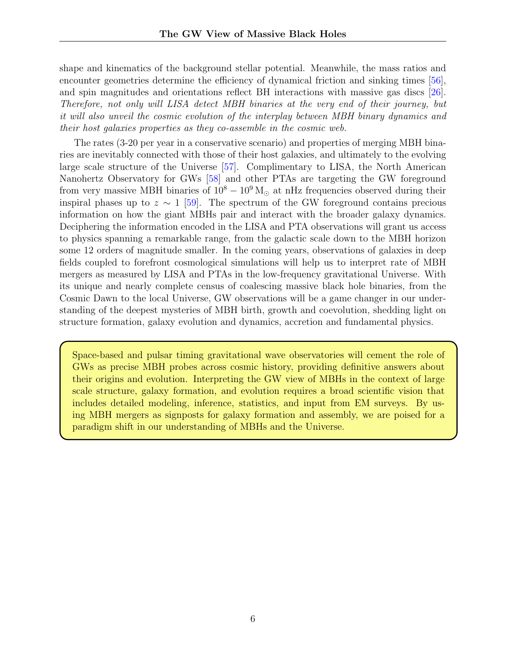shape and kinematics of the background stellar potential. Meanwhile, the mass ratios and encounter geometries determine the efficiency of dynamical friction and sinking times [56], and spin magnitudes and orientations reflect BH interactions with massive gas discs [26]. Therefore, not only will LISA detect MBH binaries at the very end of their journey, but it will also unveil the cosmic evolution of the interplay between MBH binary dynamics and their host galaxies properties as they co-assemble in the cosmic web.

The rates (3-20 per year in a conservative scenario) and properties of merging MBH binaries are inevitably connected with those of their host galaxies, and ultimately to the evolving large scale structure of the Universe [57]. Complimentary to LISA, the North American Nanohertz Observatory for GWs [58] and other PTAs are targeting the GW foreground from very massive MBH binaries of  $10^8 - 10^9$  M<sub>o</sub> at nHz frequencies observed during their inspiral phases up to  $z \sim 1$  [59]. The spectrum of the GW foreground contains precious information on how the giant MBHs pair and interact with the broader galaxy dynamics. Deciphering the information encoded in the LISA and PTA observations will grant us access to physics spanning a remarkable range, from the galactic scale down to the MBH horizon some 12 orders of magnitude smaller. In the coming years, observations of galaxies in deep fields coupled to forefront cosmological simulations will help us to interpret rate of MBH mergers as measured by LISA and PTAs in the low-frequency gravitational Universe. With its unique and nearly complete census of coalescing massive black hole binaries, from the Cosmic Dawn to the local Universe, GW observations will be a game changer in our understanding of the deepest mysteries of MBH birth, growth and coevolution, shedding light on structure formation, galaxy evolution and dynamics, accretion and fundamental physics.

Space-based and pulsar timing gravitational wave observatories will cement the role of GWs as precise MBH probes across cosmic history, providing definitive answers about their origins and evolution. Interpreting the GW view of MBHs in the context of large scale structure, galaxy formation, and evolution requires a broad scientific vision that includes detailed modeling, inference, statistics, and input from EM surveys. By using MBH mergers as signposts for galaxy formation and assembly, we are poised for a paradigm shift in our understanding of MBHs and the Universe.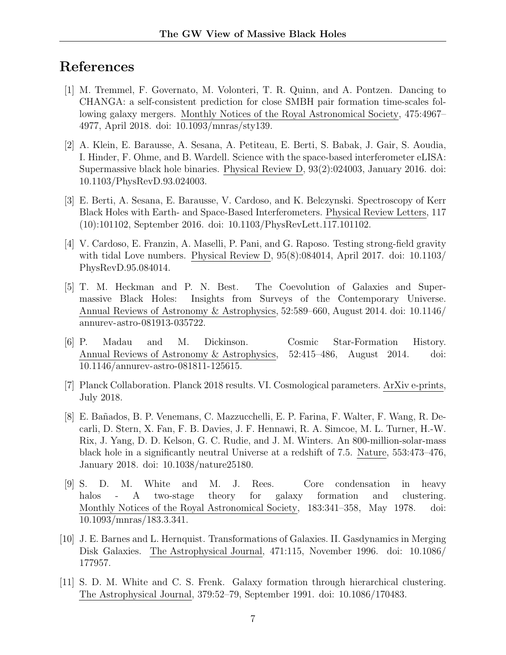# References

- [1] M. Tremmel, F. Governato, M. Volonteri, T. R. Quinn, and A. Pontzen. Dancing to CHANGA: a self-consistent prediction for close SMBH pair formation time-scales following galaxy mergers. Monthly Notices of the Royal Astronomical Society, 475:4967– 4977, April 2018. doi: 10.1093/mnras/sty139.
- [2] A. Klein, E. Barausse, A. Sesana, A. Petiteau, E. Berti, S. Babak, J. Gair, S. Aoudia, I. Hinder, F. Ohme, and B. Wardell. Science with the space-based interferometer eLISA: Supermassive black hole binaries. Physical Review D, 93(2):024003, January 2016. doi: 10.1103/PhysRevD.93.024003.
- [3] E. Berti, A. Sesana, E. Barausse, V. Cardoso, and K. Belczynski. Spectroscopy of Kerr Black Holes with Earth- and Space-Based Interferometers. Physical Review Letters, 117 (10):101102, September 2016. doi: 10.1103/PhysRevLett.117.101102.
- [4] V. Cardoso, E. Franzin, A. Maselli, P. Pani, and G. Raposo. Testing strong-field gravity with tidal Love numbers. Physical Review D,  $95(8):084014$ , April 2017. doi: 10.1103/ PhysRevD.95.084014.
- [5] T. M. Heckman and P. N. Best. The Coevolution of Galaxies and Supermassive Black Holes: Insights from Surveys of the Contemporary Universe. Annual Reviews of Astronomy & Astrophysics, 52:589–660, August 2014. doi: 10.1146/ annurev-astro-081913-035722.
- [6] P. Madau and M. Dickinson. Cosmic Star-Formation History. Annual Reviews of Astronomy & Astrophysics, 52:415–486, August 2014. doi: 10.1146/annurev-astro-081811-125615.
- [7] Planck Collaboration. Planck 2018 results. VI. Cosmological parameters. ArXiv e-prints, July 2018.
- [8] E. Ba˜nados, B. P. Venemans, C. Mazzucchelli, E. P. Farina, F. Walter, F. Wang, R. Decarli, D. Stern, X. Fan, F. B. Davies, J. F. Hennawi, R. A. Simcoe, M. L. Turner, H.-W. Rix, J. Yang, D. D. Kelson, G. C. Rudie, and J. M. Winters. An 800-million-solar-mass black hole in a significantly neutral Universe at a redshift of 7.5. Nature, 553:473–476, January 2018. doi: 10.1038/nature25180.
- [9] S. D. M. White and M. J. Rees. Core condensation in heavy halos - A two-stage theory for galaxy formation and clustering. Monthly Notices of the Royal Astronomical Society, 183:341–358, May 1978. doi: 10.1093/mnras/183.3.341.
- [10] J. E. Barnes and L. Hernquist. Transformations of Galaxies. II. Gasdynamics in Merging Disk Galaxies. The Astrophysical Journal, 471:115, November 1996. doi: 10.1086/ 177957.
- [11] S. D. M. White and C. S. Frenk. Galaxy formation through hierarchical clustering. The Astrophysical Journal, 379:52–79, September 1991. doi: 10.1086/170483.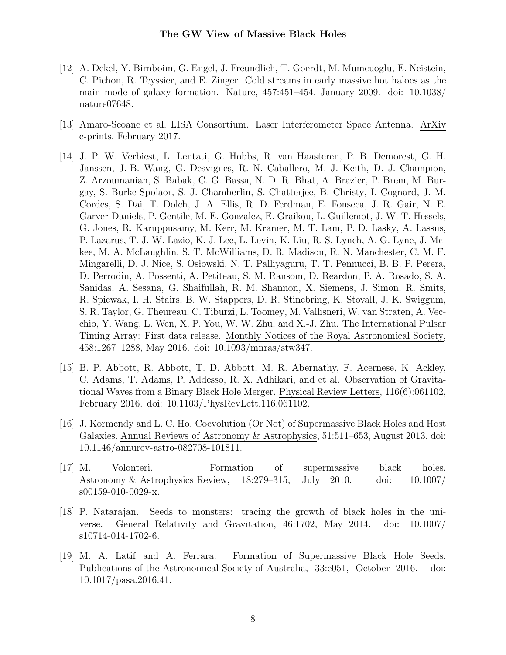- [12] A. Dekel, Y. Birnboim, G. Engel, J. Freundlich, T. Goerdt, M. Mumcuoglu, E. Neistein, C. Pichon, R. Teyssier, and E. Zinger. Cold streams in early massive hot haloes as the main mode of galaxy formation. Nature, 457:451–454, January 2009. doi: 10.1038/ nature07648.
- [13] Amaro-Seoane et al. LISA Consortium. Laser Interferometer Space Antenna. ArXiv e-prints, February 2017.
- [14] J. P. W. Verbiest, L. Lentati, G. Hobbs, R. van Haasteren, P. B. Demorest, G. H. Janssen, J.-B. Wang, G. Desvignes, R. N. Caballero, M. J. Keith, D. J. Champion, Z. Arzoumanian, S. Babak, C. G. Bassa, N. D. R. Bhat, A. Brazier, P. Brem, M. Burgay, S. Burke-Spolaor, S. J. Chamberlin, S. Chatterjee, B. Christy, I. Cognard, J. M. Cordes, S. Dai, T. Dolch, J. A. Ellis, R. D. Ferdman, E. Fonseca, J. R. Gair, N. E. Garver-Daniels, P. Gentile, M. E. Gonzalez, E. Graikou, L. Guillemot, J. W. T. Hessels, G. Jones, R. Karuppusamy, M. Kerr, M. Kramer, M. T. Lam, P. D. Lasky, A. Lassus, P. Lazarus, T. J. W. Lazio, K. J. Lee, L. Levin, K. Liu, R. S. Lynch, A. G. Lyne, J. Mckee, M. A. McLaughlin, S. T. McWilliams, D. R. Madison, R. N. Manchester, C. M. F. Mingarelli, D. J. Nice, S. Osłowski, N. T. Palliyaguru, T. T. Pennucci, B. B. P. Perera, D. Perrodin, A. Possenti, A. Petiteau, S. M. Ransom, D. Reardon, P. A. Rosado, S. A. Sanidas, A. Sesana, G. Shaifullah, R. M. Shannon, X. Siemens, J. Simon, R. Smits, R. Spiewak, I. H. Stairs, B. W. Stappers, D. R. Stinebring, K. Stovall, J. K. Swiggum, S. R. Taylor, G. Theureau, C. Tiburzi, L. Toomey, M. Vallisneri, W. van Straten, A. Vecchio, Y. Wang, L. Wen, X. P. You, W. W. Zhu, and X.-J. Zhu. The International Pulsar Timing Array: First data release. Monthly Notices of the Royal Astronomical Society, 458:1267–1288, May 2016. doi: 10.1093/mnras/stw347.
- [15] B. P. Abbott, R. Abbott, T. D. Abbott, M. R. Abernathy, F. Acernese, K. Ackley, C. Adams, T. Adams, P. Addesso, R. X. Adhikari, and et al. Observation of Gravitational Waves from a Binary Black Hole Merger. Physical Review Letters, 116(6):061102, February 2016. doi: 10.1103/PhysRevLett.116.061102.
- [16] J. Kormendy and L. C. Ho. Coevolution (Or Not) of Supermassive Black Holes and Host Galaxies. Annual Reviews of Astronomy & Astrophysics, 51:511–653, August 2013. doi: 10.1146/annurev-astro-082708-101811.
- [17] M. Volonteri. Formation of supermassive black holes. Astronomy & Astrophysics Review, 18:279–315, July 2010. doi: 10.1007/ s00159-010-0029-x.
- [18] P. Natarajan. Seeds to monsters: tracing the growth of black holes in the universe. General Relativity and Gravitation, 46:1702, May 2014. doi: 10.1007/ s10714-014-1702-6.
- [19] M. A. Latif and A. Ferrara. Formation of Supermassive Black Hole Seeds. Publications of the Astronomical Society of Australia, 33:e051, October 2016. doi: 10.1017/pasa.2016.41.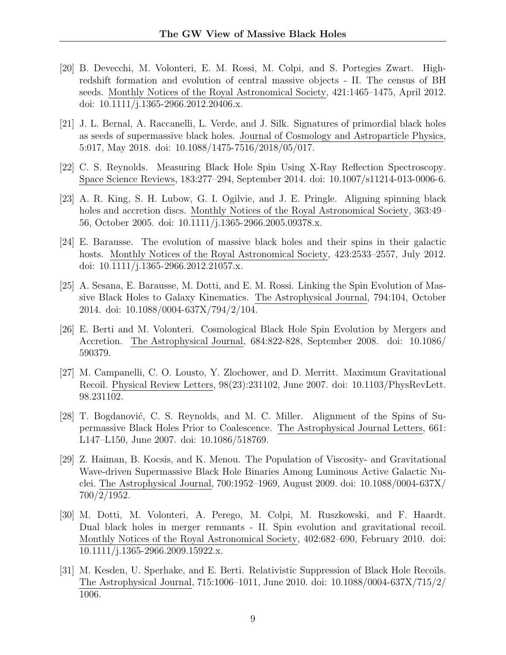- [20] B. Devecchi, M. Volonteri, E. M. Rossi, M. Colpi, and S. Portegies Zwart. Highredshift formation and evolution of central massive objects - II. The census of BH seeds. Monthly Notices of the Royal Astronomical Society, 421:1465–1475, April 2012. doi: 10.1111/j.1365-2966.2012.20406.x.
- [21] J. L. Bernal, A. Raccanelli, L. Verde, and J. Silk. Signatures of primordial black holes as seeds of supermassive black holes. Journal of Cosmology and Astroparticle Physics, 5:017, May 2018. doi: 10.1088/1475-7516/2018/05/017.
- [22] C. S. Reynolds. Measuring Black Hole Spin Using X-Ray Reflection Spectroscopy. Space Science Reviews, 183:277–294, September 2014. doi: 10.1007/s11214-013-0006-6.
- [23] A. R. King, S. H. Lubow, G. I. Ogilvie, and J. E. Pringle. Aligning spinning black holes and accretion discs. Monthly Notices of the Royal Astronomical Society, 363:49– 56, October 2005. doi: 10.1111/j.1365-2966.2005.09378.x.
- [24] E. Barausse. The evolution of massive black holes and their spins in their galactic hosts. Monthly Notices of the Royal Astronomical Society, 423:2533–2557, July 2012. doi: 10.1111/j.1365-2966.2012.21057.x.
- [25] A. Sesana, E. Barausse, M. Dotti, and E. M. Rossi. Linking the Spin Evolution of Massive Black Holes to Galaxy Kinematics. The Astrophysical Journal, 794:104, October 2014. doi: 10.1088/0004-637X/794/2/104.
- [26] E. Berti and M. Volonteri. Cosmological Black Hole Spin Evolution by Mergers and Accretion. The Astrophysical Journal, 684:822-828, September 2008. doi: 10.1086/ 590379.
- [27] M. Campanelli, C. O. Lousto, Y. Zlochower, and D. Merritt. Maximum Gravitational Recoil. Physical Review Letters, 98(23):231102, June 2007. doi: 10.1103/PhysRevLett. 98.231102.
- $[28]$  T. Bogdanović, C. S. Reynolds, and M. C. Miller. Alignment of the Spins of Supermassive Black Holes Prior to Coalescence. The Astrophysical Journal Letters, 661: L147–L150, June 2007. doi: 10.1086/518769.
- [29] Z. Haiman, B. Kocsis, and K. Menou. The Population of Viscosity- and Gravitational Wave-driven Supermassive Black Hole Binaries Among Luminous Active Galactic Nuclei. The Astrophysical Journal, 700:1952–1969, August 2009. doi: 10.1088/0004-637X/ 700/2/1952.
- [30] M. Dotti, M. Volonteri, A. Perego, M. Colpi, M. Ruszkowski, and F. Haardt. Dual black holes in merger remnants - II. Spin evolution and gravitational recoil. Monthly Notices of the Royal Astronomical Society, 402:682–690, February 2010. doi: 10.1111/j.1365-2966.2009.15922.x.
- [31] M. Kesden, U. Sperhake, and E. Berti. Relativistic Suppression of Black Hole Recoils. The Astrophysical Journal, 715:1006–1011, June 2010. doi: 10.1088/0004-637X/715/2/ 1006.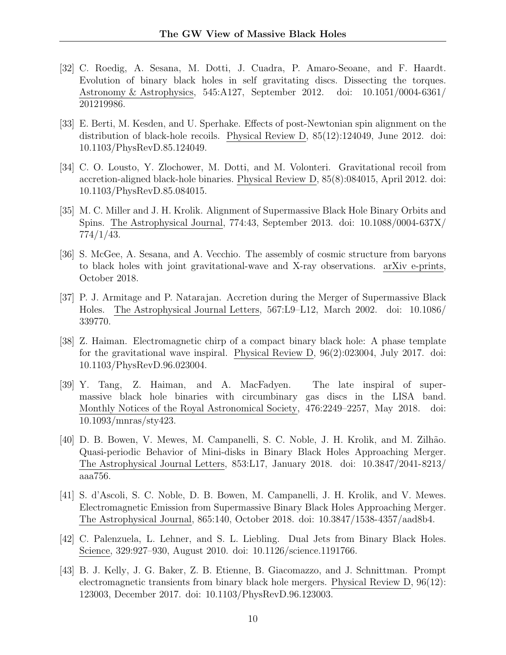- [32] C. Roedig, A. Sesana, M. Dotti, J. Cuadra, P. Amaro-Seoane, and F. Haardt. Evolution of binary black holes in self gravitating discs. Dissecting the torques. Astronomy & Astrophysics, 545:A127, September 2012. doi: 10.1051/0004-6361/ 201219986.
- [33] E. Berti, M. Kesden, and U. Sperhake. Effects of post-Newtonian spin alignment on the distribution of black-hole recoils. Physical Review D, 85(12):124049, June 2012. doi: 10.1103/PhysRevD.85.124049.
- [34] C. O. Lousto, Y. Zlochower, M. Dotti, and M. Volonteri. Gravitational recoil from accretion-aligned black-hole binaries. Physical Review D, 85(8):084015, April 2012. doi: 10.1103/PhysRevD.85.084015.
- [35] M. C. Miller and J. H. Krolik. Alignment of Supermassive Black Hole Binary Orbits and Spins. The Astrophysical Journal, 774:43, September 2013. doi: 10.1088/0004-637X/ 774/1/43.
- [36] S. McGee, A. Sesana, and A. Vecchio. The assembly of cosmic structure from baryons to black holes with joint gravitational-wave and X-ray observations. arXiv e-prints, October 2018.
- [37] P. J. Armitage and P. Natarajan. Accretion during the Merger of Supermassive Black Holes. The Astrophysical Journal Letters, 567:L9–L12, March 2002. doi: 10.1086/ 339770.
- [38] Z. Haiman. Electromagnetic chirp of a compact binary black hole: A phase template for the gravitational wave inspiral. Physical Review D, 96(2):023004, July 2017. doi: 10.1103/PhysRevD.96.023004.
- [39] Y. Tang, Z. Haiman, and A. MacFadyen. The late inspiral of supermassive black hole binaries with circumbinary gas discs in the LISA band. Monthly Notices of the Royal Astronomical Society, 476:2249–2257, May 2018. doi: 10.1093/mnras/sty423.
- [40] D. B. Bowen, V. Mewes, M. Campanelli, S. C. Noble, J. H. Krolik, and M. Zilhão. Quasi-periodic Behavior of Mini-disks in Binary Black Holes Approaching Merger. The Astrophysical Journal Letters, 853:L17, January 2018. doi: 10.3847/2041-8213/ aaa756.
- [41] S. d'Ascoli, S. C. Noble, D. B. Bowen, M. Campanelli, J. H. Krolik, and V. Mewes. Electromagnetic Emission from Supermassive Binary Black Holes Approaching Merger. The Astrophysical Journal, 865:140, October 2018. doi: 10.3847/1538-4357/aad8b4.
- [42] C. Palenzuela, L. Lehner, and S. L. Liebling. Dual Jets from Binary Black Holes. Science, 329:927–930, August 2010. doi: 10.1126/science.1191766.
- [43] B. J. Kelly, J. G. Baker, Z. B. Etienne, B. Giacomazzo, and J. Schnittman. Prompt electromagnetic transients from binary black hole mergers. Physical Review D, 96(12): 123003, December 2017. doi: 10.1103/PhysRevD.96.123003.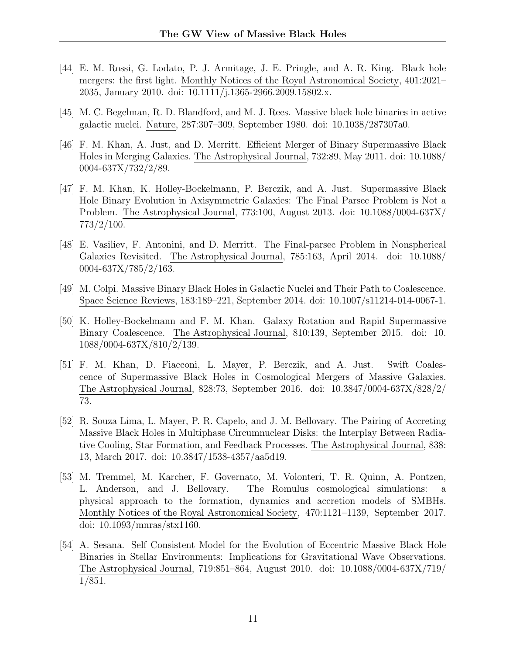- [44] E. M. Rossi, G. Lodato, P. J. Armitage, J. E. Pringle, and A. R. King. Black hole mergers: the first light. Monthly Notices of the Royal Astronomical Society, 401:2021– 2035, January 2010. doi: 10.1111/j.1365-2966.2009.15802.x.
- [45] M. C. Begelman, R. D. Blandford, and M. J. Rees. Massive black hole binaries in active galactic nuclei. Nature, 287:307–309, September 1980. doi: 10.1038/287307a0.
- [46] F. M. Khan, A. Just, and D. Merritt. Efficient Merger of Binary Supermassive Black Holes in Merging Galaxies. The Astrophysical Journal, 732:89, May 2011. doi: 10.1088/ 0004-637X/732/2/89.
- [47] F. M. Khan, K. Holley-Bockelmann, P. Berczik, and A. Just. Supermassive Black Hole Binary Evolution in Axisymmetric Galaxies: The Final Parsec Problem is Not a Problem. The Astrophysical Journal, 773:100, August 2013. doi: 10.1088/0004-637X/ 773/2/100.
- [48] E. Vasiliev, F. Antonini, and D. Merritt. The Final-parsec Problem in Nonspherical Galaxies Revisited. The Astrophysical Journal, 785:163, April 2014. doi: 10.1088/ 0004-637X/785/2/163.
- [49] M. Colpi. Massive Binary Black Holes in Galactic Nuclei and Their Path to Coalescence. Space Science Reviews, 183:189–221, September 2014. doi: 10.1007/s11214-014-0067-1.
- [50] K. Holley-Bockelmann and F. M. Khan. Galaxy Rotation and Rapid Supermassive Binary Coalescence. The Astrophysical Journal, 810:139, September 2015. doi: 10. 1088/0004-637X/810/2/139.
- [51] F. M. Khan, D. Fiacconi, L. Mayer, P. Berczik, and A. Just. Swift Coalescence of Supermassive Black Holes in Cosmological Mergers of Massive Galaxies. The Astrophysical Journal, 828:73, September 2016. doi: 10.3847/0004-637X/828/2/ 73.
- [52] R. Souza Lima, L. Mayer, P. R. Capelo, and J. M. Bellovary. The Pairing of Accreting Massive Black Holes in Multiphase Circumnuclear Disks: the Interplay Between Radiative Cooling, Star Formation, and Feedback Processes. The Astrophysical Journal, 838: 13, March 2017. doi: 10.3847/1538-4357/aa5d19.
- [53] M. Tremmel, M. Karcher, F. Governato, M. Volonteri, T. R. Quinn, A. Pontzen, L. Anderson, and J. Bellovary. The Romulus cosmological simulations: a physical approach to the formation, dynamics and accretion models of SMBHs. Monthly Notices of the Royal Astronomical Society, 470:1121–1139, September 2017. doi: 10.1093/mnras/stx1160.
- [54] A. Sesana. Self Consistent Model for the Evolution of Eccentric Massive Black Hole Binaries in Stellar Environments: Implications for Gravitational Wave Observations. The Astrophysical Journal, 719:851–864, August 2010. doi: 10.1088/0004-637X/719/ 1/851.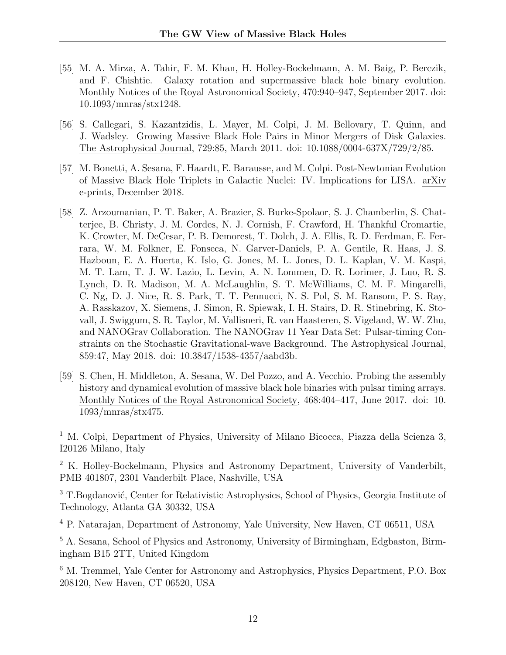- [55] M. A. Mirza, A. Tahir, F. M. Khan, H. Holley-Bockelmann, A. M. Baig, P. Berczik, and F. Chishtie. Galaxy rotation and supermassive black hole binary evolution. Monthly Notices of the Royal Astronomical Society, 470:940–947, September 2017. doi: 10.1093/mnras/stx1248.
- [56] S. Callegari, S. Kazantzidis, L. Mayer, M. Colpi, J. M. Bellovary, T. Quinn, and J. Wadsley. Growing Massive Black Hole Pairs in Minor Mergers of Disk Galaxies. The Astrophysical Journal, 729:85, March 2011. doi: 10.1088/0004-637X/729/2/85.
- [57] M. Bonetti, A. Sesana, F. Haardt, E. Barausse, and M. Colpi. Post-Newtonian Evolution of Massive Black Hole Triplets in Galactic Nuclei: IV. Implications for LISA. arXiv e-prints, December 2018.
- [58] Z. Arzoumanian, P. T. Baker, A. Brazier, S. Burke-Spolaor, S. J. Chamberlin, S. Chatterjee, B. Christy, J. M. Cordes, N. J. Cornish, F. Crawford, H. Thankful Cromartie, K. Crowter, M. DeCesar, P. B. Demorest, T. Dolch, J. A. Ellis, R. D. Ferdman, E. Ferrara, W. M. Folkner, E. Fonseca, N. Garver-Daniels, P. A. Gentile, R. Haas, J. S. Hazboun, E. A. Huerta, K. Islo, G. Jones, M. L. Jones, D. L. Kaplan, V. M. Kaspi, M. T. Lam, T. J. W. Lazio, L. Levin, A. N. Lommen, D. R. Lorimer, J. Luo, R. S. Lynch, D. R. Madison, M. A. McLaughlin, S. T. McWilliams, C. M. F. Mingarelli, C. Ng, D. J. Nice, R. S. Park, T. T. Pennucci, N. S. Pol, S. M. Ransom, P. S. Ray, A. Rasskazov, X. Siemens, J. Simon, R. Spiewak, I. H. Stairs, D. R. Stinebring, K. Stovall, J. Swiggum, S. R. Taylor, M. Vallisneri, R. van Haasteren, S. Vigeland, W. W. Zhu, and NANOGrav Collaboration. The NANOGrav 11 Year Data Set: Pulsar-timing Constraints on the Stochastic Gravitational-wave Background. The Astrophysical Journal, 859:47, May 2018. doi: 10.3847/1538-4357/aabd3b.
- [59] S. Chen, H. Middleton, A. Sesana, W. Del Pozzo, and A. Vecchio. Probing the assembly history and dynamical evolution of massive black hole binaries with pulsar timing arrays. Monthly Notices of the Royal Astronomical Society, 468:404–417, June 2017. doi: 10. 1093/mnras/stx475.

<sup>1</sup> M. Colpi, Department of Physics, University of Milano Bicocca, Piazza della Scienza 3, I20126 Milano, Italy

<sup>2</sup> K. Holley-Bockelmann, Physics and Astronomy Department, University of Vanderbilt, PMB 401807, 2301 Vanderbilt Place, Nashville, USA

<sup>3</sup> T.Bogdanović, Center for Relativistic Astrophysics, School of Physics, Georgia Institute of Technology, Atlanta GA 30332, USA

<sup>4</sup> P. Natarajan, Department of Astronomy, Yale University, New Haven, CT 06511, USA

<sup>5</sup> A. Sesana, School of Physics and Astronomy, University of Birmingham, Edgbaston, Birmingham B15 2TT, United Kingdom

<sup>6</sup> M. Tremmel, Yale Center for Astronomy and Astrophysics, Physics Department, P.O. Box 208120, New Haven, CT 06520, USA